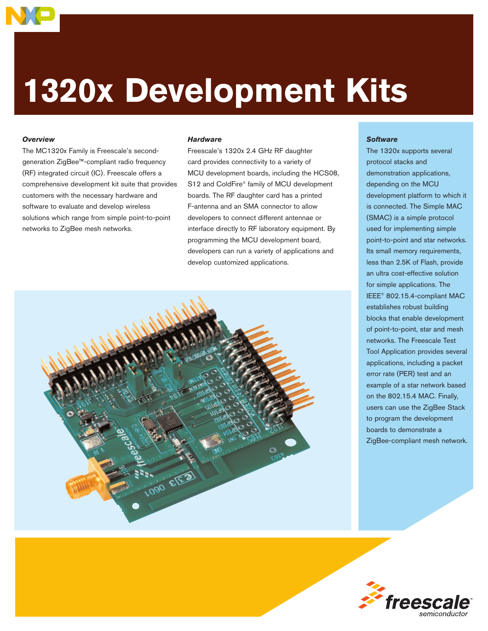

# **1320x Development Kits**

# *Overview*

The MC1320x Family is Freescale's secondgeneration ZigBee™-compliant radio frequency (RF) integrated circuit (IC). Freescale offers a comprehensive development kit suite that provides customers with the necessary hardware and software to evaluate and develop wireless solutions which range from simple point-to-point networks to ZigBee mesh networks.

#### *Hardware*

Freescale's 1320x 2.4 GHz RF daughter card provides connectivity to a variety of MCU development boards, including the HCS08, S12 and ColdFire® family of MCU development boards. The RF daughter card has a printed F-antenna and an SMA connector to allow developers to connect different antennae or interface directly to RF laboratory equipment. By programming the MCU development board, developers can run a variety of applications and develop customized applications.



## *Software*

The 1320x supports several protocol stacks and demonstration applications, depending on the MCU development platform to which it is connected. The Simple MAC (SMAC) is a simple protocol used for implementing simple point-to-point and star networks. Its small memory requirements, less than 2.5K of Flash, provide an ultra cost-effective solution for simple applications. The IEEE® 802.15.4-compliant MAC establishes robust building blocks that enable development of point-to-point, star and mesh networks. The Freescale Test Tool Application provides several applications, including a packet error rate (PER) test and an example of a star network based on the 802.15.4 MAC. Finally, users can use the ZigBee Stack to program the development boards to demonstrate a ZigBee-compliant mesh network.